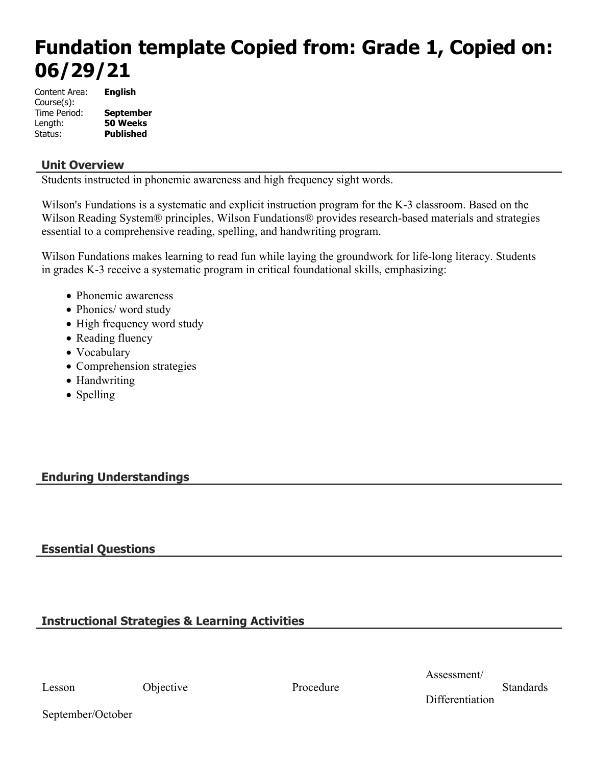# **Fundation template Copied from: Grade 1, Copied on: 06/29/21**

| Content Area: | English          |
|---------------|------------------|
| Course(s):    |                  |
| Time Period:  | <b>September</b> |
| Length:       | 50 Weeks         |
| Status:       | <b>Published</b> |

# **Unit Overview**

Students instructed in phonemic awareness and high frequency sight words.

Wilson's Fundations is a systematic and explicit instruction program for the K-3 classroom. Based on the Wilson Reading System® principles, Wilson Fundations® provides research-based materials and strategies essential to a comprehensive reading, spelling, and handwriting program.

Wilson Fundations makes learning to read fun while laying the groundwork for life-long literacy. Students in grades K-3 receive a systematic program in critical foundational skills, emphasizing:

- Phonemic awareness
- Phonics/ word study
- High frequency word study
- Reading fluency
- Vocabulary
- Comprehension strategies
- Handwriting
- Spelling

# **Enduring Understandings**

# **Essential Questions**

# **Instructional Strategies & Learning Activities**

Lesson Objective Procedure

Assessment/

**Standards** 

September/October

**Differentiation**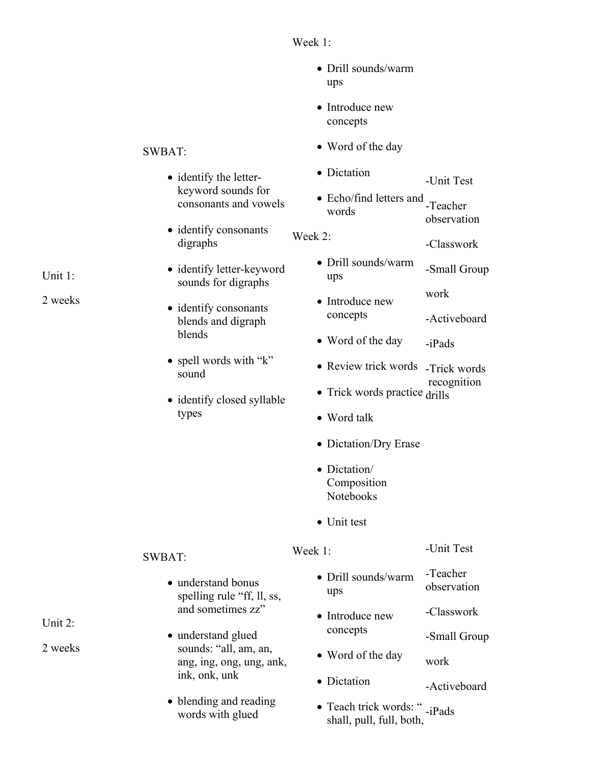# Week 1:

- Drill sounds/warm ups
- Introduce new concepts
- Word of the day
- Dictation -Unit Test
- Echo/find letters and -Teacher words observation
- Week 2: -Classwork
	- Drill sounds/warm ups -Small Group
	- Introduce new concepts work -Activeboard
	- Word of the day -iPads
	- Review trick words -Trick words recognition
	- Trick words practice drills
	- Word talk
	- Dictation/Dry Erase
	- Dictation/ Composition Notebooks
	- Unit test

# Week 1:

-Unit Test

-Activeboard

- Drill sounds/warm ups -Teacher observation
- Introduce new concepts -Classwork -Small Group
- Word of the day work
- Dictation
- Teach trick words: " -iPads shall, pull, full, both,

# SWBAT:

- identify the letterkeyword sounds for consonants and vowels
- identify consonants digraphs
- identify letter-keyword sounds for digraphs
- identify consonants blends and digraph blends
- spell words with "k" sound
- identify closed syllable types

Unit 1:

2 weeks

# SWBAT:

- understand bonus spelling rule "ff, ll, ss, and sometimes zz"
- understand glued sounds: "all, am, an, ang, ing, ong, ung, ank, ink, onk, unk
- blending and reading words with glued

Unit 2: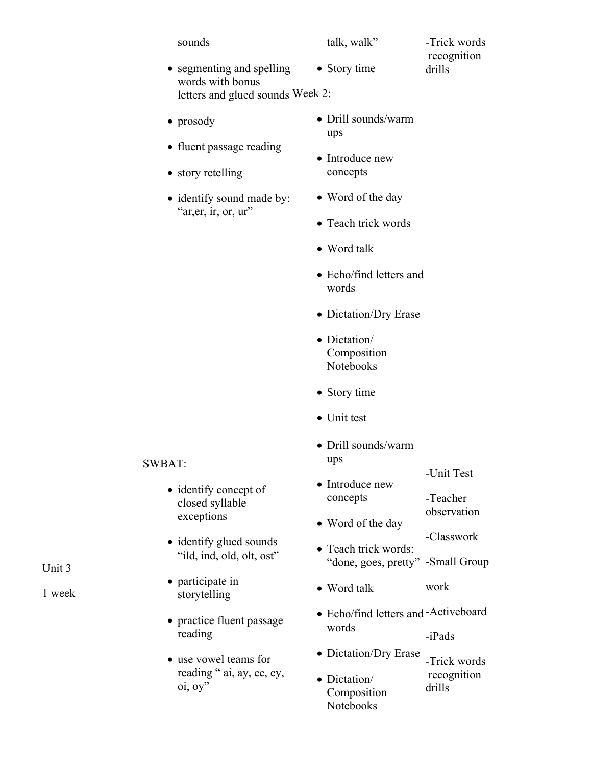sounds

#### talk, walk"

- -Trick words recognition drills
- segmenting and spelling words with bonus letters and glued sounds Week 2: • Story time
- prosody
- fluent passage reading
- story retelling
- identify sound made by: "ar, er, ir, or, ur"
- Drill sounds/warm ups
- Introduce new concepts
- Word of the day
- Teach trick words
- Word talk
- Echo/find letters and words
- Dictation/Dry Erase
- Dictation/ Composition Notebooks
- Story time
- Unit test
- Drill sounds/warm ups
- Introduce new concepts -Unit Test -Teacher
- Word of the day observation -Classwork
- Teach trick words: "done, goes, pretty" -Small Group
- Word talk work
- Echo/find letters and -Activeboard words

-iPads

- Dictation/Dry Erase -Trick words
- Dictation/ Composition Notebooks recognition drills

#### SWBAT:

- identify concept of closed syllable exceptions
- identify glued sounds "ild, ind, old, olt, ost"
- participate in storytelling
- practice fluent passage reading
- use vowel teams for reading " ai, ay, ee, ey, oi, oy"

Unit 3

1 week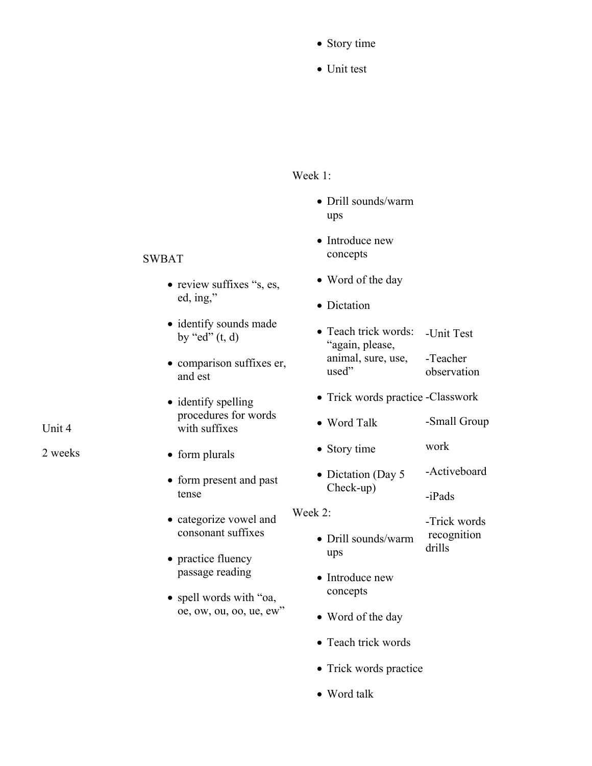- Story time
- Unit test

# Week 1:

- Drill sounds/warm ups
- Introduce new concepts
- Word of the day
- Dictation
- Teach trick words: "again, please, animal, sure, use, used" -Unit Test -Teacher observation
- Trick words practice -Classwork
- Word Talk -Small Group
- Story time work
- Dictation (Day 5) Check-up) -Activeboard

-iPads

- -Trick words
- Drill sounds/warm recognition drills
- Introduce new concepts

ups

Week 2:

- Word of the day
- Teach trick words
- Trick words practice
- Word talk

# SWBAT

- review suffixes "s, es, ed, ing,"
- identify sounds made by "ed"  $(t, d)$
- comparison suffixes er, and est
- identify spelling procedures for words with suffixes
- form plurals
- form present and past tense
- categorize vowel and consonant suffixes
- practice fluency passage reading
- spell words with "oa, oe, ow, ou, oo, ue, ew"

Unit 4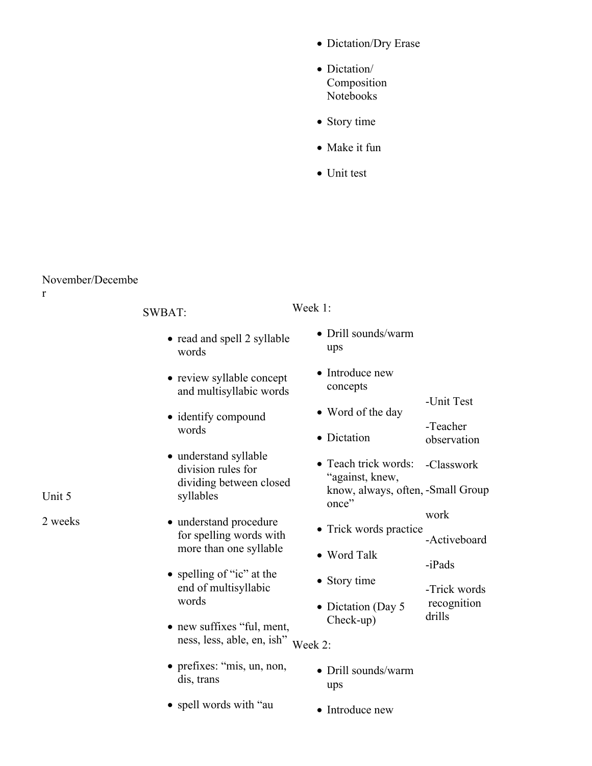- Dictation/Dry Erase
- Dictation/ Composition Notebooks
- Story time
- Make it fun
- Unit test

# November/Decembe

| $\mathbf r$ |                                                          |                                            |                         |
|-------------|----------------------------------------------------------|--------------------------------------------|-------------------------|
|             | <b>SWBAT:</b>                                            | Week 1:                                    |                         |
|             | • read and spell 2 syllable<br>words                     | • Drill sounds/warm<br>ups                 |                         |
|             | • review syllable concept<br>and multisyllabic words     | • Introduce new<br>concepts                |                         |
| Unit 5      | • identify compound                                      | • Word of the day                          | -Unit Test              |
|             | words                                                    | • Dictation                                | -Teacher<br>observation |
|             | · understand syllable<br>division rules for              | • Teach trick words:<br>"against, knew,    | -Classwork              |
|             | dividing between closed<br>syllables                     | know, always, often, -Small Group<br>once" |                         |
| 2 weeks     | • understand procedure<br>for spelling words with        | • Trick words practice                     | work<br>-Activeboard    |
|             | more than one syllable                                   | • Word Talk                                | -iPads                  |
|             | • spelling of "ic" at the<br>end of multisyllabic        | • Story time                               | -Trick words            |
|             | words                                                    | • Dictation (Day 5<br>Check-up)            | recognition<br>drills   |
|             | • new suffixes "ful, ment,<br>ness, less, able, en, ish" | Week 2:                                    |                         |
|             | • prefixes: "mis, un, non,<br>dis, trans                 | • Drill sounds/warm<br>ups                 |                         |
|             | • spell words with "au                                   | • Introduce new                            |                         |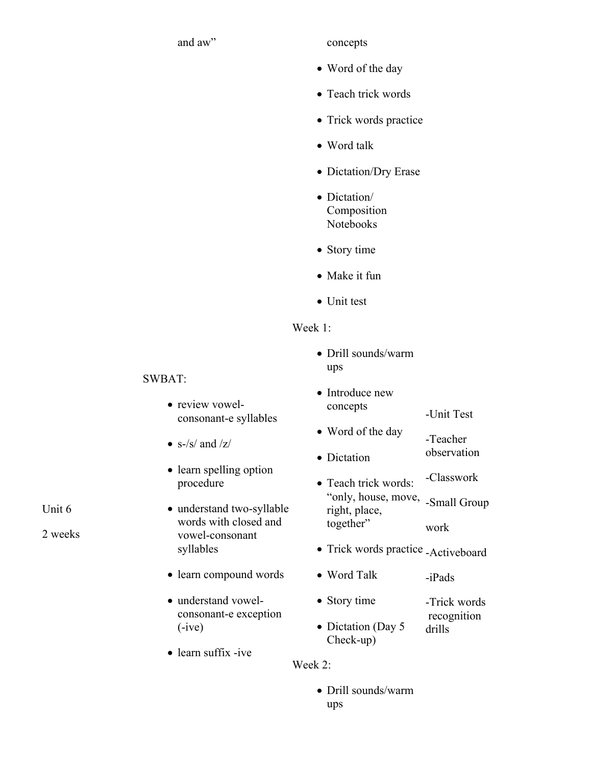and aw" concepts

- Word of the day
- Teach trick words
- Trick words practice
- Word talk
- Dictation/Dry Erase
- Dictation/ Composition Notebooks
- Story time
- Make it fun
- Unit test

### Week 1:

 Drill sounds/warm ups

| • Introduce new      |                                                          |
|----------------------|----------------------------------------------------------|
| concepts             | -Unit Test                                               |
| • Word of the day    | -Teacher                                                 |
| • Dictation          | observation                                              |
| • Teach trick words: | -Classwork                                               |
| "only, house, move,  | $\mathcal{C}_{\text{max}}$ 11 $\mathcal{C}_{\text{max}}$ |

- "only, house, move, right, place, together" -Small Group work
- Trick words practice -Activeboard
- Word Talk -iPads
- Story time -Trick words
- Dictation (Day 5) recognition drills
- Check-up)

Week 2:

 Drill sounds/warm ups

## SWBAT:

- review vowelconsonant-e syllables
- $\bullet$  s-/s/ and /z/
- learn spelling option procedure
- understand two-syllable words with closed and vowel-consonant syllables
- learn compound words
- understand vowelconsonant-e exception (-ive)
- learn suffix -ive

Unit 6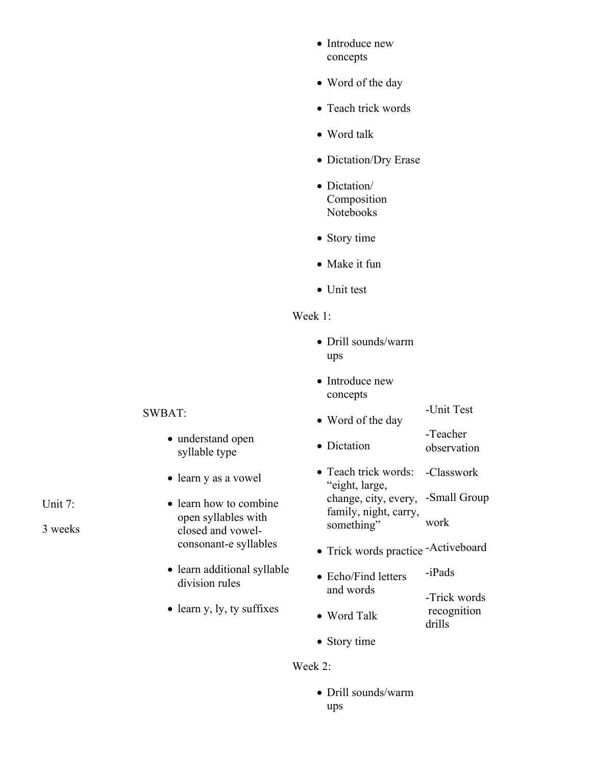- Introduce new concepts
- Word of the day
- Teach trick words
- Word talk
- Dictation/Dry Erase
- Dictation/ Composition Notebooks
- Story time
- Make it fun
- Unit test

# Week 1:

- Drill sounds/warm ups
- Introduce new concepts

-Unit Test

- Word of the day -Teacher
- Dictation observation
- Teach trick words: "eight, large, change, city, every, family, night, carry, something" -Classwork -Small Group work
- Trick words practice -Activeboard
- Echo/Find letters and words -iPads -Trick words
- Word Talk recognition drills
- Story time

#### Week 2:

 Drill sounds/warm ups

## SWBAT:

- understand open syllable type
- learn y as a vowel
- learn how to combine open syllables with closed and vowelconsonant-e syllables
- learn additional syllable division rules
- learn y, ly, ty suffixes

Unit 7: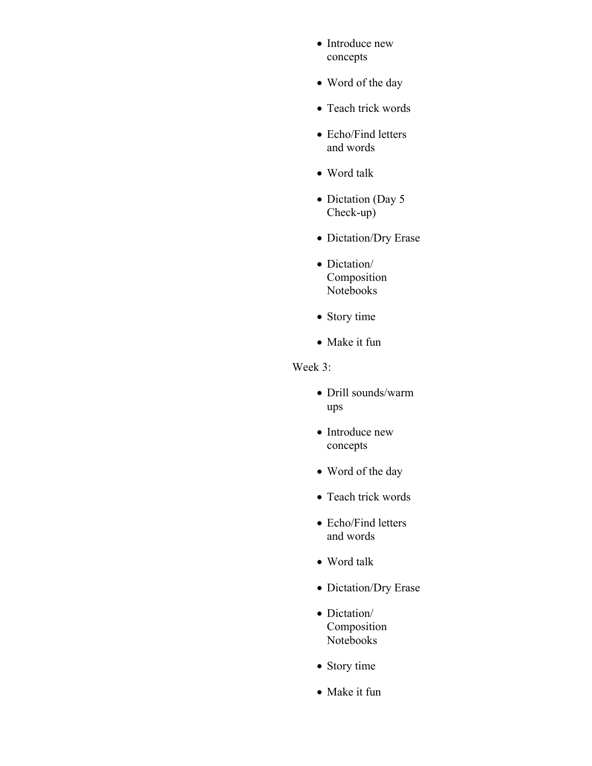- Introduce new concepts
- Word of the day
- Teach trick words
- Echo/Find letters and words
- Word talk
- Dictation (Day 5 Check-up)
- Dictation/Dry Erase
- Dictation/ Composition Notebooks
- Story time
- Make it fun

# Week 3:

- Drill sounds/warm ups
- Introduce new concepts
- Word of the day
- Teach trick words
- Echo/Find letters and words
- Word talk
- Dictation/Dry Erase
- Dictation/ Composition Notebooks
- Story time
- Make it fun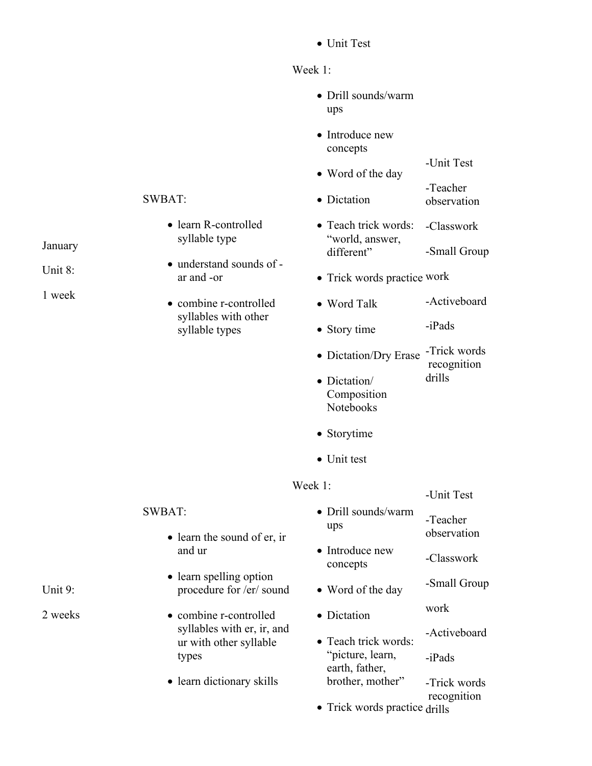Unit Test

# Week 1:

- Drill sounds/warm ups
- Introduce new concepts
	- -Unit Test
- Word of the day -Teacher
- Dictation observation
- Teach trick words: "world, answer, different" -Classwork -Small Group
- Trick words practice work
- Word Talk -Activeboard
- Story time -iPads
- Dictation/Dry Erase -Trick words recognition drills

-Unit Test

- Dictation/ Composition Notebooks
- Storytime
- Unit test

# Week 1:

|                                                      |                                    | UMI LUT                 |
|------------------------------------------------------|------------------------------------|-------------------------|
| <b>SWBAT:</b><br>$\bullet$ learn the sound of er, in | • Drill sounds/warm<br>ups         | -Teacher<br>observation |
| and ur                                               | • Introduce new<br>concepts        | -Classwork              |
| • learn spelling option<br>procedure for /er/ sound  | • Word of the day                  | -Small Group            |
| • combine r-controlled                               | • Dictation                        | work                    |
| syllables with er, ir, and<br>ur with other syllable | • Teach trick words:               | -Activeboard            |
| types                                                | "picture, learn,<br>earth, father, | $-iPads$                |
| • learn dictionary skills                            | brother, mother"                   | -Trick words            |
|                                                      | • Trick words practice drills      | recognition             |

## SWBAT:

- learn R-controlled syllable type
- understand sounds of ar and -or
- combine r-controlled syllables with other syllable types

January

Unit 8:

1 week

Unit 9: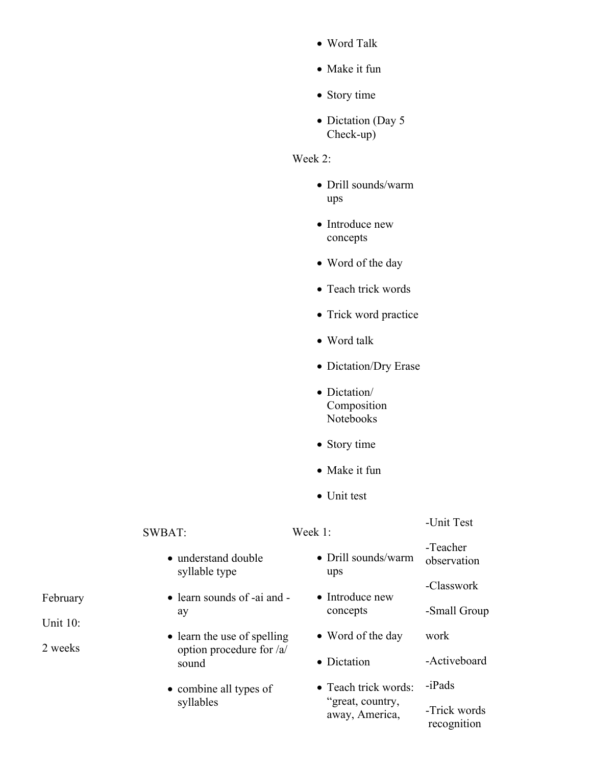- Word Talk
- Make it fun
- Story time
- Dictation (Day 5) Check-up)

# Week 2:

- Drill sounds/warm ups
- Introduce new concepts
- Word of the day
- Teach trick words
- Trick word practice
- Word talk
- Dictation/Dry Erase
- Dictation/ Composition Notebooks
- Story time
- Make it fun
- Unit test

#### SWBAT:

ay

#### Week 1:

# -Unit Test

• understand double syllable type • learn sounds of -ai and -• learn the use of spelling option procedure for /a/ sound • combine all types of syllables Drill sounds/warm ups • Introduce new concepts • Word of the day • Dictation • Teach trick words: "great, country, away, America, -Teacher observation -Classwork -Small Group work -Activeboard -iPads -Trick words recognition

# February

Unit 10: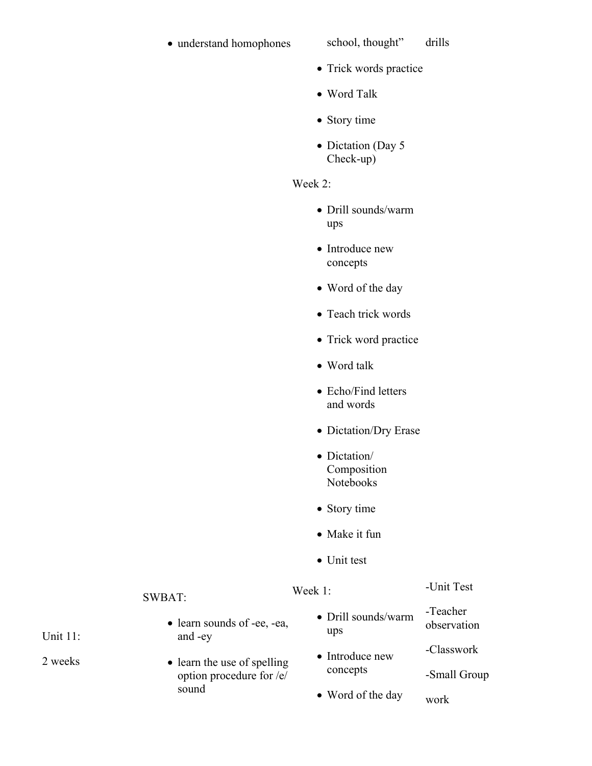# • understand homophones school, thought"

# drills

- Trick words practice
- Word Talk
- Story time
- Dictation (Day 5 Check-up)

# Week 2:

- Drill sounds/warm ups
- Introduce new concepts
- Word of the day
- Teach trick words
- Trick word practice
- Word talk
- Echo/Find letters and words
- Dictation/Dry Erase
- Dictation/ Composition Notebooks
- Story time
- Make it fun
- Unit test

# Week 1:

#### -Unit Test

- Drill sounds/warm ups -Teacher observation
- Introduce new concepts -Classwork -Small Group
- Word of the day work

Unit 11:

2 weeks

• learn sounds of -ee, -ea, and -ey

SWBAT:

• learn the use of spelling option procedure for /e/ sound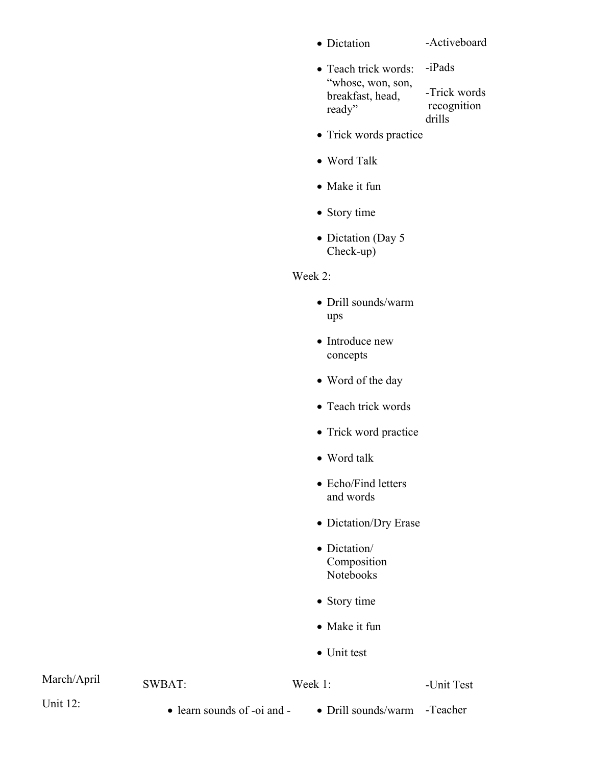• Dictation

# -Activeboard

- Teach trick words: "whose, won, son, breakfast, head, ready" -iPads -Trick words recognition drills
- Trick words practice
- Word Talk
- Make it fun
- Story time
- Dictation (Day 5 Check-up)

# Week 2:

- Drill sounds/warm ups
- Introduce new concepts
- Word of the day
- Teach trick words
- Trick word practice
- Word talk
- Echo/Find letters and words
- Dictation/Dry Erase
- Dictation/ Composition Notebooks
- Story time
- Make it fun
- Unit test

# March/April

SWBAT:

Week 1:

#### -Unit Test

Unit 12:

- learn sounds of -oi and -
- Drill sounds/warm -Teacher
	-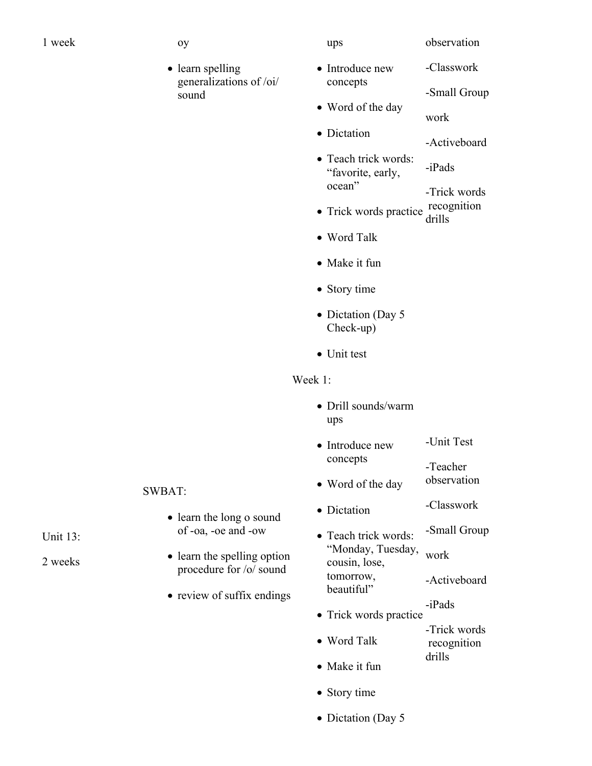- 1 week oy
	-
	- learn spelling generalizations of /oi/ sound

ups

observation

- Introduce new concepts -Classwork -Small Group
- Word of the day
	- work
- Dictation -Activeboard
- Teach trick words: "favorite, early, ocean" -iPads -Trick words
- Trick words practice recognition drills
- Word Talk
- Make it fun
- Story time
- Dictation (Day 5) Check-up)
- Unit test

# Week 1:

- Drill sounds/warm ups
- Introduce new concepts -Unit Test -Teacher
- Word of the day observation
- Dictation -Classwork
- Teach trick words: "Monday, Tuesday, cousin, lose, tomorrow, beautiful" -Small Group work -Activeboard
	- -iPads
- Trick words practice
- Word Talk -Trick words recognition drills
- Make it fun
- Story time
- Dictation (Day 5

Unit 13:

- SWBAT:
	- learn the long o sound of -oa, -oe and -ow
	- learn the spelling option procedure for /o/ sound
	- review of suffix endings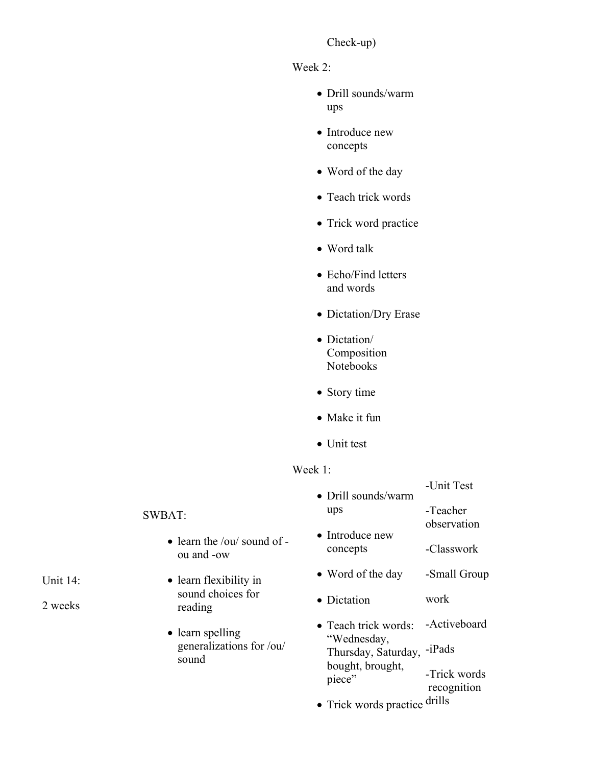# Check-up)

## Week 2:

- Drill sounds/warm ups
- Introduce new concepts
- Word of the day
- Teach trick words
- Trick word practice
- Word talk
- Echo/Find letters and words
- Dictation/Dry Erase
- Dictation/ Composition Notebooks
- Story time
- Make it fun
- Unit test

# Week 1:

| • Drill sounds/warm                                                               | -Unit Test          |                             |
|-----------------------------------------------------------------------------------|---------------------|-----------------------------|
|                                                                                   | ups                 | -Teacher                    |
| l of -                                                                            | • Introduce new     | observation                 |
|                                                                                   | concepts            | -Classwork                  |
|                                                                                   | • Word of the day   | -Small Group                |
|                                                                                   | • Dictation         | work                        |
| $\bullet$ Teach trick words:<br>"Wednesday,<br>/ou/<br>bought, brought,<br>piece" |                     | -Activeboard                |
|                                                                                   | Thursday, Saturday, | $-iPads$                    |
|                                                                                   |                     | -Trick words<br>recognition |
|                                                                                   |                     | 1 '11                       |

• Trick words practice drills

# SWBAT:

- $\bullet$  learn the /ou/ sound ou and -ow
- learn flexibility in sound choices for reading
- learn spelling generalizations for sound

# Unit 14: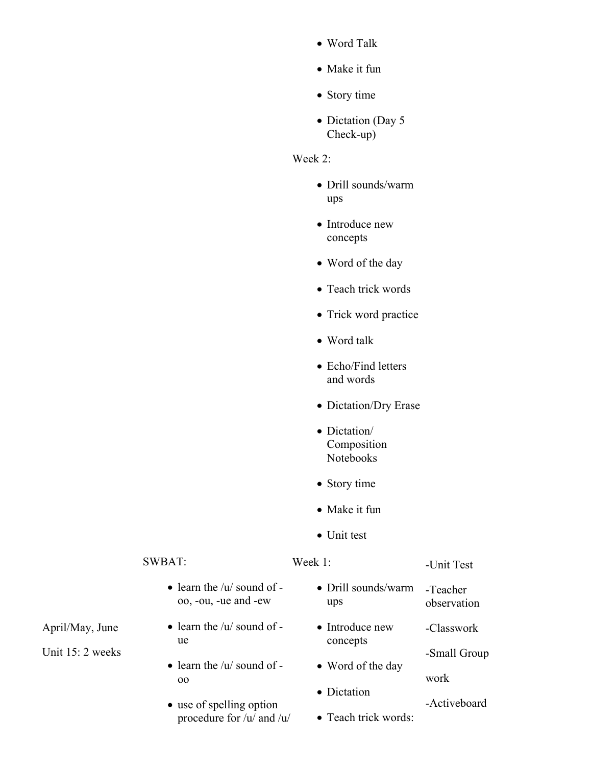- Word Talk
- Make it fun
- Story time
- Dictation (Day 5) Check-up)

# Week 2:

- Drill sounds/warm ups
- Introduce new concepts
- Word of the day
- Teach trick words
- Trick word practice
- Word talk
- Echo/Find letters and words
- Dictation/Dry Erase
- Dictation/ Composition Notebooks
- Story time
- Make it fun
- Unit test

#### SWBAT:

Week 1:

#### -Unit Test

- $\bullet$  learn the /u/ sound of oo, -ou, -ue and -ew
- $\bullet$  learn the /u/ sound of ue
- $\bullet$  learn the /u/ sound of oo
- use of spelling option procedure for /u/ and /u/
- Drill sounds/warm ups -Teacher observation
- Introduce new concepts -Classwork -Small Group
- Word of the day
- Dictation
- -Activeboard

work

• Teach trick words:

April/May, June

Unit 15: 2 weeks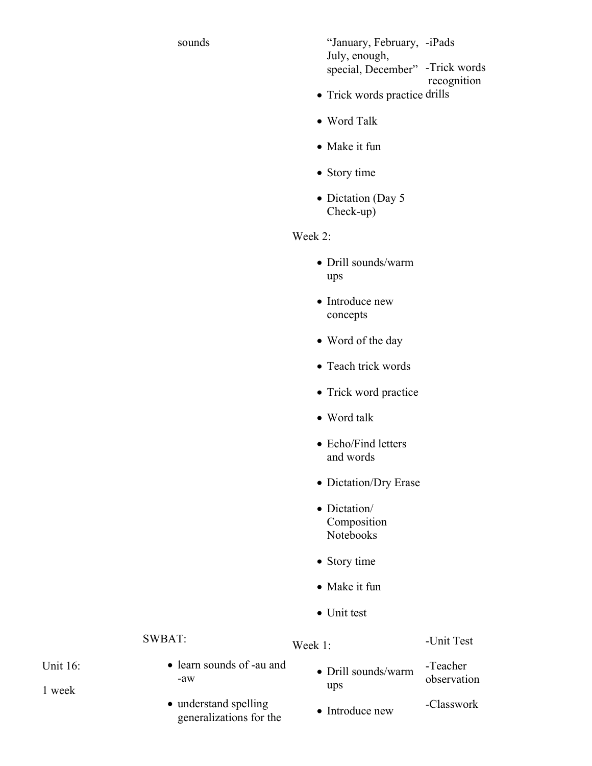sounds "January, February, -iPads July, enough, special, December" -Trick words recognition

- Trick words practice drills
- Word Talk
- Make it fun
- Story time
- Dictation (Day 5 Check-up)

Week 2:

- Drill sounds/warm ups
- Introduce new concepts
- Word of the day
- Teach trick words
- Trick word practice
- Word talk
- Echo/Find letters and words
- Dictation/Dry Erase
- Dictation/ Composition Notebooks
- Story time
- Make it fun
- Unit test

#### SWBAT:

#### Week 1:

#### -Unit Test

Unit 16:

1 week

- learn sounds of -au and -aw
- understand spelling generalizations for the
- Drill sounds/warm ups -Teacher observation
- Introduce new -Classwork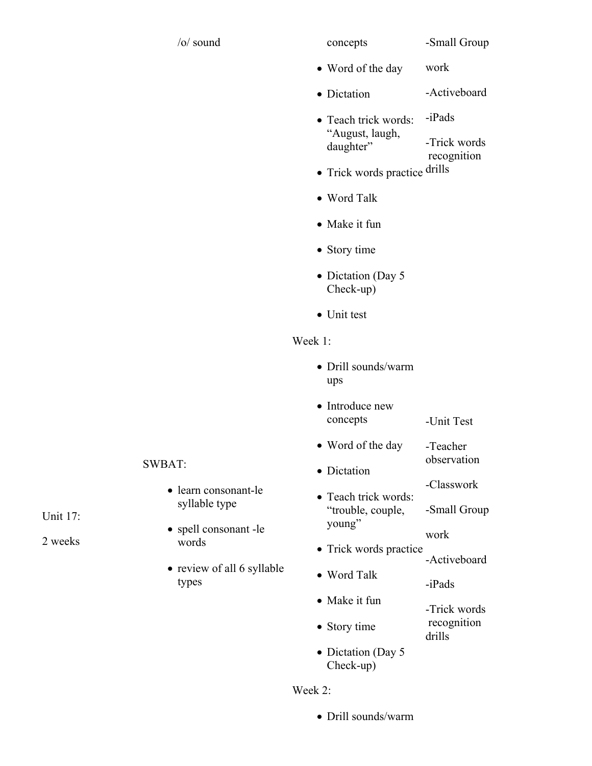| $\sqrt{O}$ soun |
|-----------------|
|                 |

d concepts

- Word of the day work
- Dictation -Activeboard
- Teach trick words: "August, laugh, daughter" -iPads -Trick words recognition
- Trick words practice drills
- Word Talk
- Make it fun
- Story time
- Dictation (Day 5 Check-up)
- Unit test

# Week 1:

- Drill sounds/warm ups
- Introduce new concepts -Unit Test
- Word of the day -Teacher
- Dictation
- Teach trick words: "trouble, couple, young" -Classwork -Small Group

work

observation

- Trick words practice -Activeboard
- Word Talk

• Story time

- Make it fun
	- -Trick words recognition drills

-iPads

• Dictation (Day 5) Check-up)

# Week 2:

Drill sounds/warm

Unit 17:

- spell consonant -le words
- types
- SWBAT:
	- learn consonant-le syllable type
	-
	- review of all 6 syllable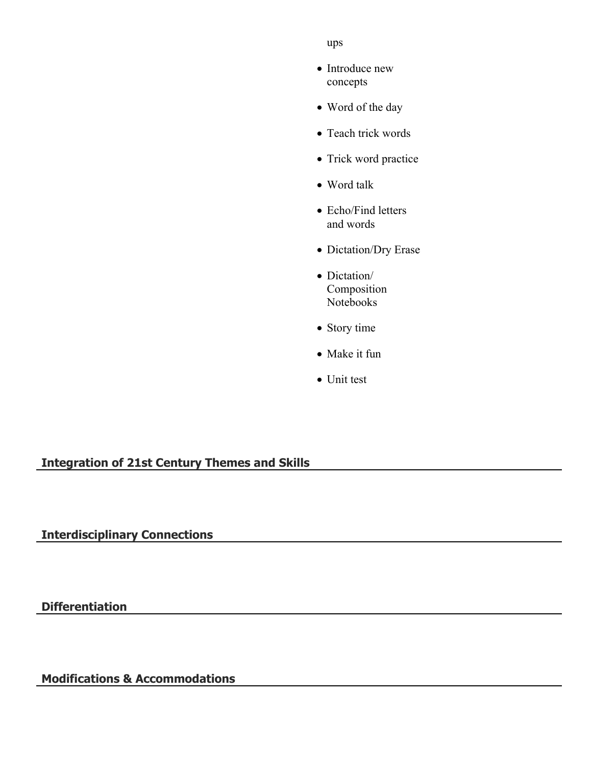ups

- Introduce new concepts
- Word of the day
- Teach trick words
- Trick word practice
- Word talk
- Echo/Find letters and words
- Dictation/Dry Erase
- Dictation/ Composition Notebooks
- Story time
- Make it fun
- Unit test

# **Integration of 21st Century Themes and Skills**

**Interdisciplinary Connections**

**Differentiation**

**Modifications & Accommodations**